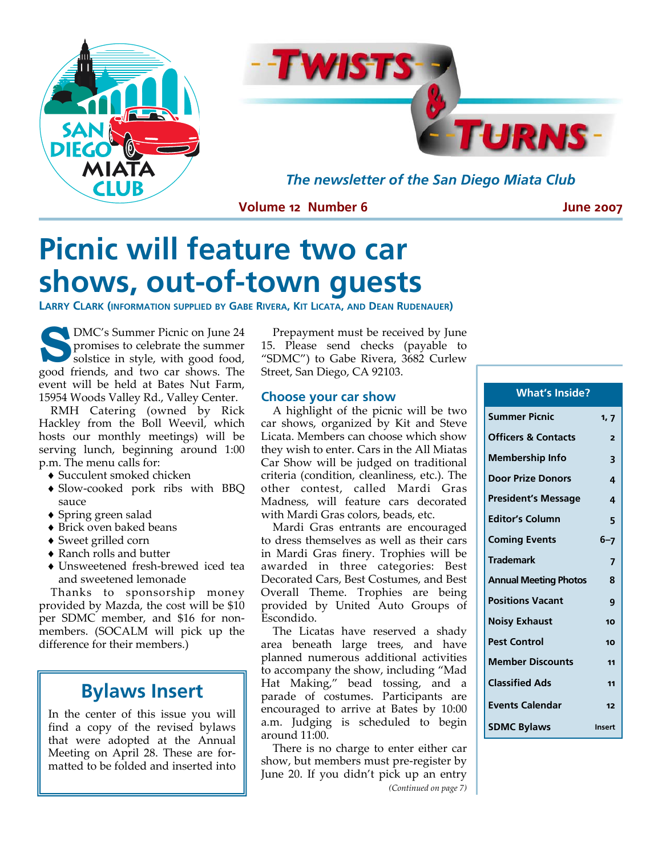



*The newsletter of the San Diego Miata Club* 

**Volume 12 Number 6** 

**June 2007** 

# **Picnic will feature two car shows, out-of-town guests**

**LARRY CLARK (INFORMATION SUPPLIED BY GABE RIVERA, KIT LICATA, AND DEAN RUDENAUER)** 

**S DMC's Summer Picnic on June 24** promises to celebrate the summer solstice in style, with good food, good friends, and two car shows. The event will be held at Bates Nut Farm, 15954 Woods Valley Rd., Valley Center.

RMH Catering (owned by Rick Hackley from the Boll Weevil, which hosts our monthly meetings) will be serving lunch, beginning around 1:00 p.m. The menu calls for:

- ♦ Succulent smoked chicken
- ♦ Slow‐cooked pork ribs with BBQ sauce
- ♦ Spring green salad
- ♦ Brick oven baked beans
- ♦ Sweet grilled corn
- ♦ Ranch rolls and butter
- ♦ Unsweetened fresh‐brewed iced tea and sweetened lemonade

Thanks to sponsorship money provided by Mazda, the cost will be \$10 per SDMC member, and \$16 for non‐ members. (SOCALM will pick up the difference for their members.)

# **Bylaws Insert**

In the center of this issue you will find a copy of the revised bylaws that were adopted at the Annual Meeting on April 28. These are for‐ matted to be folded and inserted into

Prepayment must be received by June 15. Please send checks (payable to "SDMC") to Gabe Rivera, 3682 Curlew Street, San Diego, CA 92103.

### **Choose your car show**

A highlight of the picnic will be two car shows, organized by Kit and Steve Licata. Members can choose which show they wish to enter. Cars in the All Miatas Car Show will be judged on traditional criteria (condition, cleanliness, etc.). The other contest, called Mardi Gras Madness, will feature cars decorated with Mardi Gras colors, beads, etc.

Mardi Gras entrants are encouraged to dress themselves as well as their cars in Mardi Gras finery. Trophies will be awarded in three categories: Best Decorated Cars, Best Costumes, and Best Overall Theme. Trophies are being provided by United Auto Groups of Escondido.

The Licatas have reserved a shady area beneath large trees, and have planned numerous additional activities to accompany the show, including "Mad Hat Making," bead tossing, and a parade of costumes. Participants are encouraged to arrive at Bates by 10:00 a.m. Judging is scheduled to begin around 11:00.

There is no charge to enter either car show, but members must pre‐register by June 20. If you didn't pick up an entry *(Continued on page 7)*

| 1, 7           |
|----------------|
| $\overline{2}$ |
| 3              |
| 4              |
| 4              |
| 5              |
| $6 - 7$        |
| 7              |
| 8              |
| 9              |
| 10             |
| 10             |
| 11             |
| 11             |
| 12             |
| Insert         |
|                |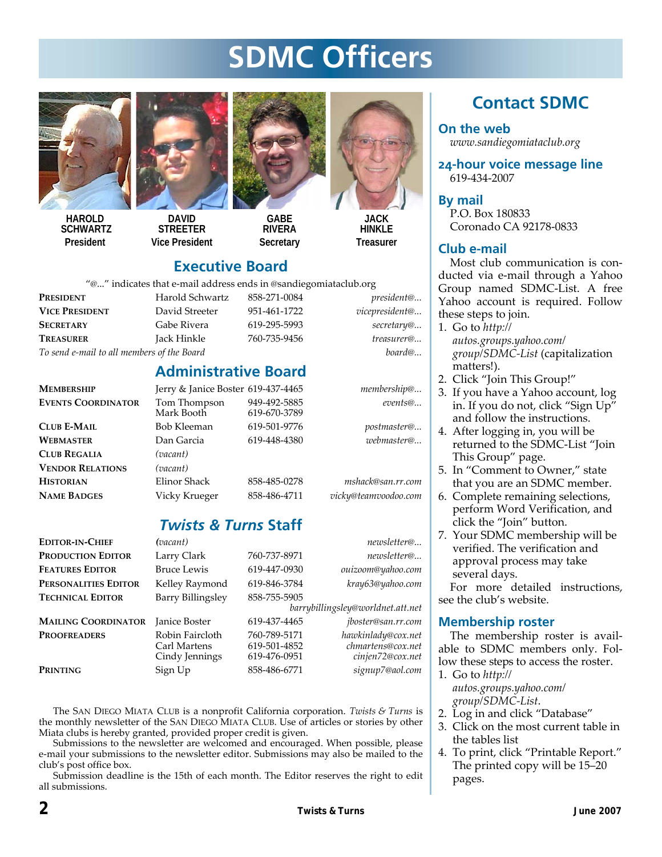# **SDMC Officers**



**HAROLD SCHWARTZ President** 



**DAVID STREETER Vice President** 



**GABE RIVERA Secretary** 



**HINKI F Treasurer** 

## **Executive Board**

"@..." indicates that e‐mail address ends in @sandiegomiataclub.org

| <b>PRESIDENT</b>                           | Harold Schwartz | 858-271-0084 | president@     |
|--------------------------------------------|-----------------|--------------|----------------|
| <b>VICE PRESIDENT</b>                      | David Streeter  | 951-461-1722 | vicepresident@ |
| <b>SECRETARY</b>                           | Gabe Rivera     | 619-295-5993 | secretary@     |
| <b>TREASURER</b>                           | Jack Hinkle     | 760-735-9456 | treasurer@     |
| To send e-mail to all members of the Board | board@          |              |                |

|                 | нат с-піан адагсээ сназ III @эанан goilliataciuv.org |                        |  |  |  |
|-----------------|------------------------------------------------------|------------------------|--|--|--|
| Harold Schwartz | 858-271-0084                                         | president@             |  |  |  |
| David Streeter  | 951-461-1722                                         | vicepresident@         |  |  |  |
| Gabe Rivera     | 619-295-5993                                         | secretary@             |  |  |  |
| Jack Hinkle     | 760-735-9456                                         | treasurer <sup>®</sup> |  |  |  |
|                 |                                                      |                        |  |  |  |

# **Administrative Board**

| <b>MEMBERSHIP</b>         | Jerry & Janice Boster 619-437-4465 |                              | membership@       |
|---------------------------|------------------------------------|------------------------------|-------------------|
| <b>EVENTS COORDINATOR</b> | Tom Thompson<br>Mark Booth         | 949-492-5885<br>619-670-3789 | events@           |
| <b>CLUB E-MAIL</b>        | Bob Kleeman                        | 619-501-9776                 | postmaster@       |
| <b>WEBMASTER</b>          | Dan Garcia                         | 619-448-4380                 | webmaster@        |
| <b>CLUB REGALIA</b>       | (vacant)                           |                              |                   |
| <b>VENDOR RELATIONS</b>   | (vacant)                           |                              |                   |
| <b>HISTORIAN</b>          | Elinor Shack                       | 858-485-0278                 | mshack@san.rr.com |
|                           |                                    |                              |                   |

**NAME BADGES** Vicky Krueger 858‐486‐4711 *vicky@teamvoodoo.com*

# *Twists & Turns* **Staff**

| <b>EDITOR-IN-CHIEF</b>     | (vacant)                                          |                                              | newsletter@                                                 |
|----------------------------|---------------------------------------------------|----------------------------------------------|-------------------------------------------------------------|
| <b>PRODUCTION EDITOR</b>   | Larry Clark                                       | 760-737-8971                                 | newsletter@                                                 |
| <b>FEATURES EDITOR</b>     | <b>Bruce Lewis</b>                                | 619-447-0930                                 | ouizoom@yahoo.com                                           |
| PERSONALITIES EDITOR       | Kelley Raymond                                    | 619-846-3784                                 | kray63@yahoo.com                                            |
| <b>TECHNICAL EDITOR</b>    | Barry Billingsley                                 | 858-755-5905                                 | barrybillingsley@worldnet.att.net                           |
| <b>MAILING COORDINATOR</b> | <b>Janice Boster</b>                              | 619-437-4465                                 | <i>iboster@san.rr.com</i>                                   |
| <b>PROOFREADERS</b>        | Robin Faircloth<br>Carl Martens<br>Cindy Jennings | 760-789-5171<br>619-501-4852<br>619-476-0951 | hawkinlady@cox.net<br>chmartens@cox.net<br>cinjen72@cox.net |
| PRINTING                   | Sign Up                                           | 858-486-6771                                 | signup7@aol.com                                             |
|                            |                                                   |                                              |                                                             |

The SAN DIEGO MIATA CLUB is a nonprofit California corporation. *Twists & Turns* is the monthly newsletter of the SAN DIEGO MIATA CLUB. Use of articles or stories by other Miata clubs is hereby granted, provided proper credit is given.

Submissions to the newsletter are welcomed and encouraged. When possible, please e‐mail your submissions to the newsletter editor. Submissions may also be mailed to the club's post office box.

Submission deadline is the 15th of each month. The Editor reserves the right to edit all submissions.

# **Contact SDMC**

**On the web**  *www.sandiegomiataclub.org*

**24-hour voice message line**  619‐434‐2007

**By mail**  P.O. Box 180833 Coronado CA 92178‐0833

## **Club e-mail**

Most club communication is conducted via e‐mail through a Yahoo Group named SDMC‐List. A free Yahoo account is required. Follow these steps to join.

1. Go to *http:// autos.groups.yahoo.com/ group/SDMC‐List* (capitalization matters!).

- 2. Click "Join This Group!"
- 3. If you have a Yahoo account, log in. If you do not, click "Sign Up" and follow the instructions.
- 4. After logging in, you will be returned to the SDMC‐List "Join This Group" page.
- 5. In "Comment to Owner," state that you are an SDMC member.
- 6. Complete remaining selections, perform Word Verification, and click the "Join" button.
- 7. Your SDMC membership will be verified. The verification and approval process may take several days.

For more detailed instructions, see the club's website.

## **Membership roster**

The membership roster is avail‐ able to SDMC members only. Fol‐ low these steps to access the roster. 1. Go to *http://*

*autos.groups.yahoo.com/ group/SDMC‐List*.

- 2. Log in and click "Database"
- 3. Click on the most current table in the tables list
- 4. To print, click "Printable Report." The printed copy will be 15–20 pages.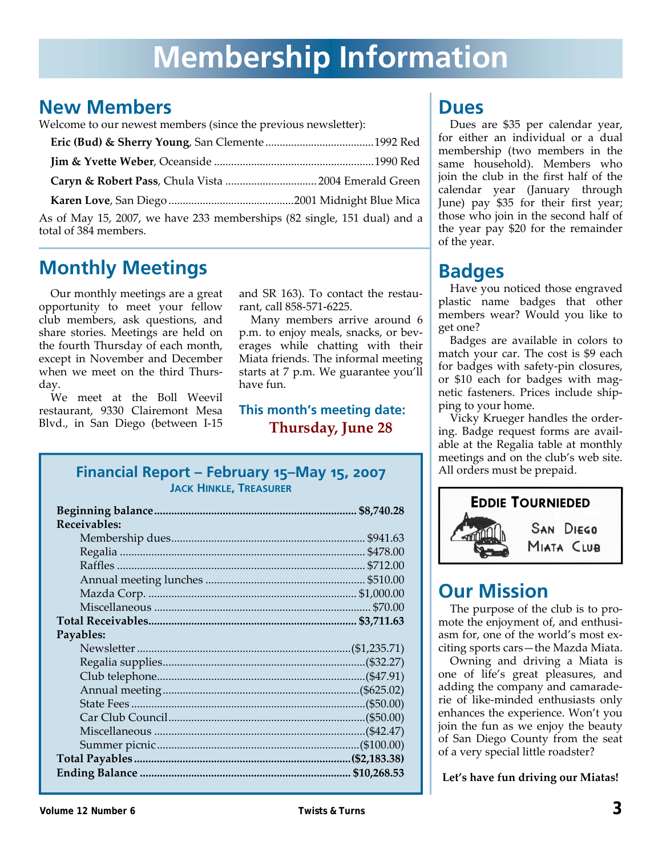# **New Members**

Welcome to our newest members (since the previous newsletter):

| Caryn & Robert Pass, Chula Vista  2004 Emerald Green                                             |  |
|--------------------------------------------------------------------------------------------------|--|
|                                                                                                  |  |
| As of May 15, 2007, we have 233 memberships (82 single, 151 dual) and a<br>total of 384 members. |  |

# **Monthly Meetings**

Our monthly meetings are a great opportunity to meet your fellow club members, ask questions, and share stories. Meetings are held on the fourth Thursday of each month, except in November and December when we meet on the third Thursday.

We meet at the Boll Weevil restaurant, 9330 Clairemont Mesa Blvd., in San Diego (between I‐15 and SR 163). To contact the restau‐ rant, call 858‐571‐6225.

Many members arrive around 6 p.m. to enjoy meals, snacks, or beverages while chatting with their Miata friends. The informal meeting starts at 7 p.m. We guarantee you'll have fun.

## **This month's meeting date: Thursday, June 28**

## **Financial Report – February 15–May 15, 2007 JACK HINKLE, TREASURER**

| Receivables: |  |
|--------------|--|
|              |  |
|              |  |
|              |  |
|              |  |
|              |  |
|              |  |
|              |  |
| Payables:    |  |
|              |  |
|              |  |
|              |  |
|              |  |
|              |  |
|              |  |
|              |  |
|              |  |
|              |  |
|              |  |

# **Dues**

Dues are \$35 per calendar year, for either an individual or a dual membership (two members in the same household). Members who join the club in the first half of the calendar year (January through June) pay \$35 for their first year; those who join in the second half of the year pay \$20 for the remainder of the year.

# **Badges**

Have you noticed those engraved plastic name badges that other members wear? Would you like to get one?

Badges are available in colors to match your car. The cost is \$9 each for badges with safety‐pin closures, or \$10 each for badges with mag‐ netic fasteners. Prices include ship‐ ping to your home.

Vicky Krueger handles the order‐ ing. Badge request forms are avail‐ able at the Regalia table at monthly meetings and on the club's web site. All orders must be prepaid.



# **Our Mission**

The purpose of the club is to pro‐ mote the enjoyment of, and enthusiasm for, one of the world's most ex‐ citing sports cars—the Mazda Miata.

Owning and driving a Miata is one of life's great pleasures, and adding the company and camarade‐ rie of like‐minded enthusiasts only enhances the experience. Won't you join the fun as we enjoy the beauty of San Diego County from the seat of a very special little roadster?

**Let's have fun driving our Miatas!**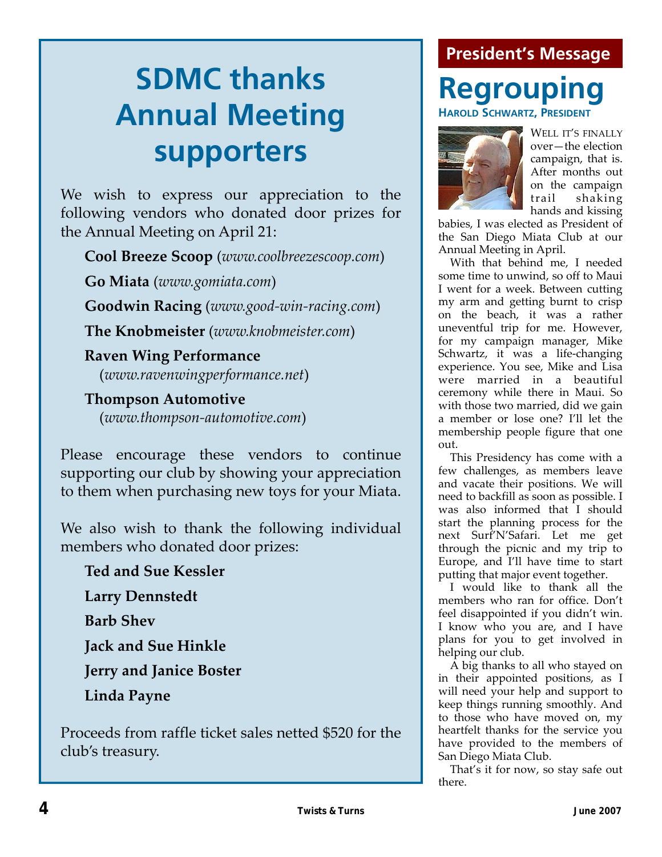# **President's Message**

# **SDMC thanks Annual Meeting supporters**

We wish to express our appreciation to the following vendors who donated door prizes for the Annual Meeting on April 21:

**Cool Breeze Scoop** (*www.coolbreezescoop.com*)

**Go Miata** (*www.gomiata.com*)

**Goodwin Racing** (*www.good‐win‐racing.com*)

**The Knobmeister** (*www.knobmeister.com*)

**Raven Wing Performance** (*www.ravenwingperformance.net*)

**Thompson Automotive** (*www.thompson‐automotive.com*)

Please encourage these vendors to continue supporting our club by showing your appreciation to them when purchasing new toys for your Miata.

We also wish to thank the following individual members who donated door prizes:

**Ted and Sue Kessler Larry Dennstedt Barb Shev Jack and Sue Hinkle Jerry and Janice Boster Linda Payne**

Proceeds from raffle ticket sales netted \$520 for the club's treasury.

# **Regrouping HAROLD SCHWARTZ, PRESIDENT**



WELL IT'S FINALLY over—the election campaign, that is. After months out on the campaign trail shaking hands and kissing

babies, I was elected as President of the San Diego Miata Club at our Annual Meeting in April.

With that behind me, I needed some time to unwind, so off to Maui I went for a week. Between cutting my arm and getting burnt to crisp on the beach, it was a rather uneventful trip for me. However, for my campaign manager, Mike Schwartz, it was a life-changing experience. You see, Mike and Lisa were married in a beautiful ceremony while there in Maui. So with those two married, did we gain a member or lose one? I'll let the membership people figure that one out.

This Presidency has come with a few challenges, as members leave and vacate their positions. We will need to backfill as soon as possible. I was also informed that I should start the planning process for the next Surf'N'Safari. Let me get through the picnic and my trip to Europe, and I'll have time to start putting that major event together.

I would like to thank all the members who ran for office. Don't feel disappointed if you didn't win. I know who you are, and I have plans for you to get involved in helping our club.

A big thanks to all who stayed on in their appointed positions, as I will need your help and support to keep things running smoothly. And to those who have moved on, my heartfelt thanks for the service you have provided to the members of San Diego Miata Club.

That's it for now, so stay safe out there.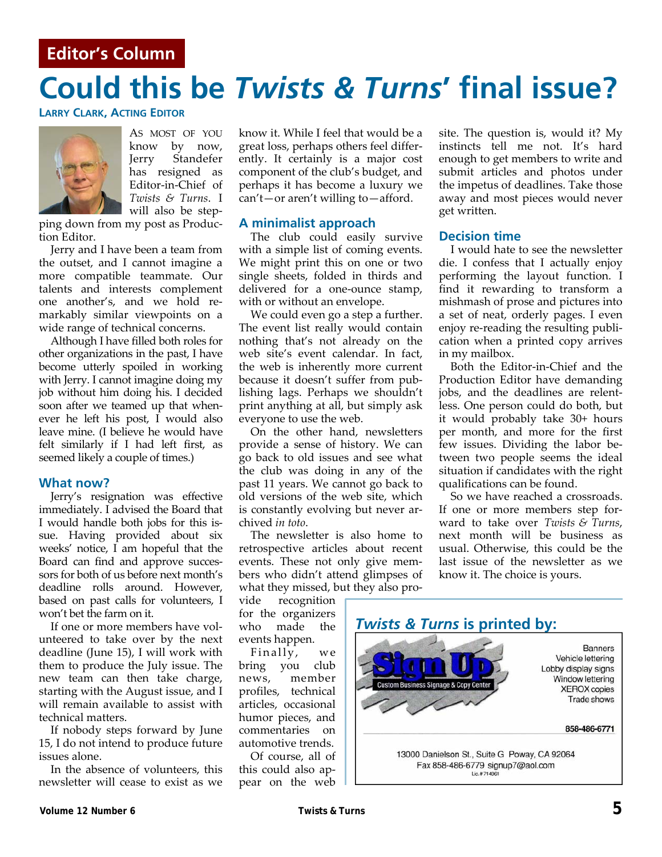## **Editor's Column**

# **Could this be** *Twists & Turns***' final issue?**

**LARRY CLARK, ACTING EDITOR**



AS MOST OF YOU know by now, Jerry Standefer has resigned as Editor‐in‐Chief of *Twists & Turns*. I will also be step‐

ping down from my post as Produc‐ tion Editor.

Jerry and I have been a team from the outset, and I cannot imagine a more compatible teammate. Our talents and interests complement one another's, and we hold re‐ markably similar viewpoints on a wide range of technical concerns.

Although I have filled both roles for other organizations in the past, I have become utterly spoiled in working with Jerry. I cannot imagine doing my job without him doing his. I decided soon after we teamed up that whenever he left his post, I would also leave mine. (I believe he would have felt similarly if I had left first, as seemed likely a couple of times.)

#### **What now?**

Jerry's resignation was effective immediately. I advised the Board that I would handle both jobs for this is‐ sue. Having provided about six weeks' notice, I am hopeful that the Board can find and approve succes‐ sors for both of us before next month's deadline rolls around. However, based on past calls for volunteers, I won't bet the farm on it.

If one or more members have volunteered to take over by the next deadline (June 15), I will work with them to produce the July issue. The new team can then take charge, starting with the August issue, and I will remain available to assist with technical matters.

If nobody steps forward by June 15, I do not intend to produce future issues alone.

In the absence of volunteers, this newsletter will cease to exist as we know it. While I feel that would be a great loss, perhaps others feel differ‐ ently. It certainly is a major cost component of the club's budget, and perhaps it has become a luxury we can't—or aren't willing to—afford.

### **A minimalist approach**

The club could easily survive with a simple list of coming events. We might print this on one or two single sheets, folded in thirds and delivered for a one‐ounce stamp, with or without an envelope.

We could even go a step a further. The event list really would contain nothing that's not already on the web site's event calendar. In fact, the web is inherently more current because it doesn't suffer from pub‐ lishing lags. Perhaps we shouldn't print anything at all, but simply ask everyone to use the web.

On the other hand, newsletters provide a sense of history. We can go back to old issues and see what the club was doing in any of the past 11 years. We cannot go back to old versions of the web site, which is constantly evolving but never ar‐ chived *in toto*.

The newsletter is also home to retrospective articles about recent events. These not only give mem‐ bers who didn't attend glimpses of what they missed, but they also pro‐

vide recognition for the organizers who made the events happen.

Finally, we bring you club news, member profiles, technical articles, occasional humor pieces, and commentaries on automotive trends.

Of course, all of this could also ap‐ pear on the web site. The question is, would it? My instincts tell me not. It's hard enough to get members to write and submit articles and photos under the impetus of deadlines. Take those away and most pieces would never get written.

#### **Decision time**

I would hate to see the newsletter die. I confess that I actually enjoy performing the layout function. I find it rewarding to transform a mishmash of prose and pictures into a set of neat, orderly pages. I even enjoy re-reading the resulting publication when a printed copy arrives in my mailbox.

Both the Editor‐in‐Chief and the Production Editor have demanding jobs, and the deadlines are relent‐ less. One person could do both, but it would probably take 30+ hours per month, and more for the first few issues. Dividing the labor be‐ tween two people seems the ideal situation if candidates with the right qualifications can be found.

So we have reached a crossroads. If one or more members step for‐ ward to take over *Twists & Turns*, next month will be business as usual. Otherwise, this could be the last issue of the newsletter as we know it. The choice is yours.

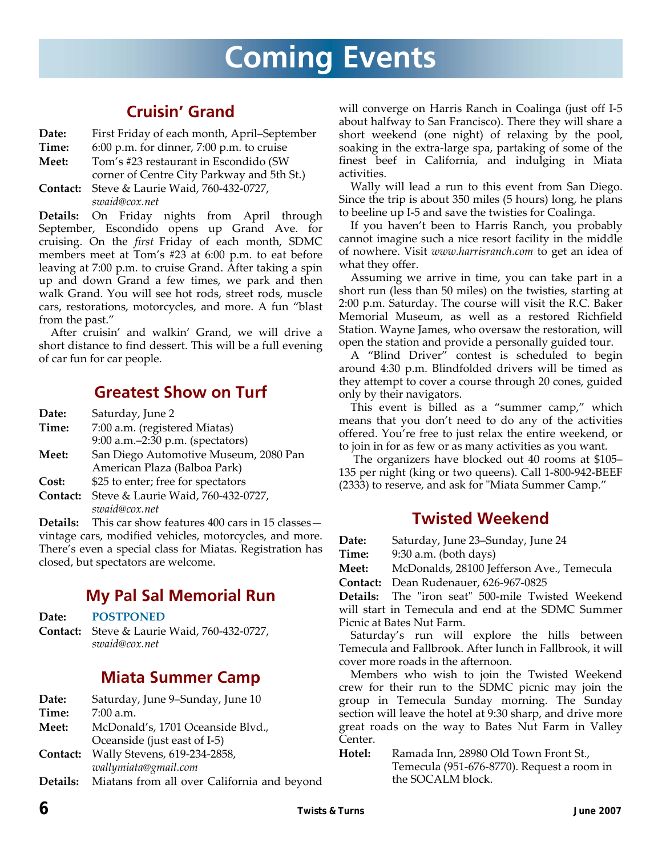# **Coming Events**

# **Cruisin' Grand**

- **Date:** First Friday of each month, April–September
- **Time:** 6:00 p.m. for dinner, 7:00 p.m. to cruise
- **Meet:** Tom's #23 restaurant in Escondido (SW
- corner of Centre City Parkway and 5th St.)
- **Contact:** Steve & Laurie Waid, 760‐432‐0727, *swaid@cox.net*

**Details:** On Friday nights from April through September, Escondido opens up Grand Ave. for cruising. On the *first* Friday of each month, SDMC members meet at Tom's #23 at 6:00 p.m. to eat before leaving at 7:00 p.m. to cruise Grand. After taking a spin up and down Grand a few times, we park and then walk Grand. You will see hot rods, street rods, muscle cars, restorations, motorcycles, and more. A fun "blast from the past."

After cruisin' and walkin' Grand, we will drive a short distance to find dessert. This will be a full evening of car fun for car people.

# **Greatest Show on Turf**

| Date: | Saturday, June 2 |  |
|-------|------------------|--|
|-------|------------------|--|

- **Time:** 7:00 a.m. (registered Miatas) 9:00 a.m.–2:30 p.m. (spectators) **Meet:** San Diego Automotive Museum, 2080 Pan American Plaza (Balboa Park)
- **Cost:** \$25 to enter; free for spectators
- **Contact:** Steve & Laurie Waid, 760‐432‐0727, *swaid@cox.net*

**Details:** This car show features 400 cars in 15 classes vintage cars, modified vehicles, motorcycles, and more. There's even a special class for Miatas. Registration has closed, but spectators are welcome.

# **My Pal Sal Memorial Run**

**Date: POSTPONED**

**Contact:** Steve & Laurie Waid, 760‐432‐0727, *swaid@cox.net*

# **Miata Summer Camp**

| Date:    | Saturday, June 9–Sunday, June 10                            |
|----------|-------------------------------------------------------------|
| Time:    | $7:00$ a.m.                                                 |
| Meet:    | McDonald's, 1701 Oceanside Blvd.,                           |
|          | Oceanside (just east of I-5)                                |
| Contact: | Wally Stevens, 619-234-2858,                                |
|          | wallymiata@gmail.com                                        |
|          | <b>Details:</b> Miatans from all over California and beyond |

will converge on Harris Ranch in Coalinga (just off I‐5 about halfway to San Francisco). There they will share a short weekend (one night) of relaxing by the pool, soaking in the extra‐large spa, partaking of some of the finest beef in California, and indulging in Miata activities.

Wally will lead a run to this event from San Diego. Since the trip is about 350 miles (5 hours) long, he plans to beeline up I‐5 and save the twisties for Coalinga.

If you haven't been to Harris Ranch, you probably cannot imagine such a nice resort facility in the middle of nowhere. Visit *www.harrisranch.com* to get an idea of what they offer.

Assuming we arrive in time, you can take part in a short run (less than 50 miles) on the twisties, starting at 2:00 p.m. Saturday. The course will visit the R.C. Baker Memorial Museum, as well as a restored Richfield Station. Wayne James, who oversaw the restoration, will open the station and provide a personally guided tour.

A "Blind Driver" contest is scheduled to begin around 4:30 p.m. Blindfolded drivers will be timed as they attempt to cover a course through 20 cones, guided only by their navigators.

This event is billed as a "summer camp," which means that you don't need to do any of the activities offered. You're free to just relax the entire weekend, or to join in for as few or as many activities as you want.

The organizers have blocked out 40 rooms at \$105– 135 per night (king or two queens). Call 1‐800‐942‐BEEF (2333) to reserve, and ask for "Miata Summer Camp."

# **Twisted Weekend**

**Date:** Saturday, June 23–Sunday, June 24

**Time:** 9:30 a.m. (both days)

**Meet:** McDonalds, 28100 Jefferson Ave., Temecula

**Contact:** Dean Rudenauer, 626‐967‐0825

**Details:** The "iron seat" 500-mile Twisted Weekend will start in Temecula and end at the SDMC Summer Picnic at Bates Nut Farm.

Saturday's run will explore the hills between Temecula and Fallbrook. After lunch in Fallbrook, it will cover more roads in the afternoon.

Members who wish to join the Twisted Weekend crew for their run to the SDMC picnic may join the group in Temecula Sunday morning. The Sunday section will leave the hotel at 9:30 sharp, and drive more great roads on the way to Bates Nut Farm in Valley Center.

**Hotel:** Ramada Inn, 28980 Old Town Front St., Temecula (951‐676‐8770). Request a room in the SOCALM block.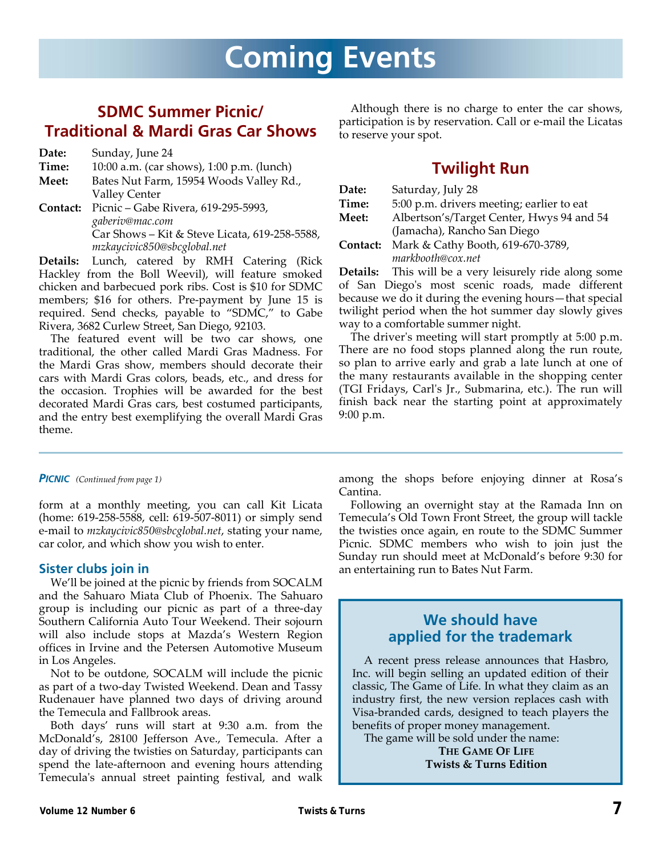# **SDMC Summer Picnic/ Traditional & Mardi Gras Car Shows**

| Date:    | Sunday, June 24                               |
|----------|-----------------------------------------------|
| Time:    | 10:00 a.m. (car shows), 1:00 p.m. (lunch)     |
| Meet:    | Bates Nut Farm, 15954 Woods Valley Rd.,       |
|          | <b>Valley Center</b>                          |
| Contact: | Picnic – Gabe Rivera, 619-295-5993,           |
|          | gaberiv@mac.com                               |
|          | Car Shows - Kit & Steve Licata, 619-258-5588, |
|          | mzkaycivic850@sbcglobal.net                   |

**Details:** Lunch, catered by RMH Catering (Rick Hackley from the Boll Weevil), will feature smoked chicken and barbecued pork ribs. Cost is \$10 for SDMC members; \$16 for others. Pre-payment by June 15 is required. Send checks, payable to "SDMC," to Gabe Rivera, 3682 Curlew Street, San Diego, 92103.

The featured event will be two car shows, one traditional, the other called Mardi Gras Madness. For the Mardi Gras show, members should decorate their cars with Mardi Gras colors, beads, etc., and dress for the occasion. Trophies will be awarded for the best decorated Mardi Gras cars, best costumed participants, and the entry best exemplifying the overall Mardi Gras theme.

Although there is no charge to enter the car shows, participation is by reservation. Call or e‐mail the Licatas to reserve your spot.

# **Twilight Run**

| Date:    | Saturday, July 28                         |
|----------|-------------------------------------------|
| Time:    | 5:00 p.m. drivers meeting; earlier to eat |
| Meet:    | Albertson's/Target Center, Hwys 94 and 54 |
|          | (Jamacha), Rancho San Diego               |
| Contact: | Mark & Cathy Booth, 619-670-3789,         |
|          | markbooth@cox.net                         |

**Details:** This will be a very leisurely ride along some of San Diegoʹs most scenic roads, made different because we do it during the evening hours—that special twilight period when the hot summer day slowly gives way to a comfortable summer night.

The driver's meeting will start promptly at 5:00 p.m. There are no food stops planned along the run route, so plan to arrive early and grab a late lunch at one of the many restaurants available in the shopping center (TGI Fridays, Carlʹs Jr., Submarina, etc.). The run will finish back near the starting point at approximately 9:00 p.m.

#### *PICNIC (Continued from page 1)*

form at a monthly meeting, you can call Kit Licata (home: 619‐258‐5588, cell: 619‐507‐8011) or simply send e‐mail to *mzkaycivic850@sbcglobal.net*, stating your name, car color, and which show you wish to enter.

## **Sister clubs join in**

We'll be joined at the picnic by friends from SOCALM and the Sahuaro Miata Club of Phoenix. The Sahuaro group is including our picnic as part of a three‐day Southern California Auto Tour Weekend. Their sojourn will also include stops at Mazda's Western Region offices in Irvine and the Petersen Automotive Museum in Los Angeles.

Not to be outdone, SOCALM will include the picnic as part of a two‐day Twisted Weekend. Dean and Tassy Rudenauer have planned two days of driving around the Temecula and Fallbrook areas.

Both days' runs will start at 9:30 a.m. from the McDonald's, 28100 Jefferson Ave., Temecula. After a day of driving the twisties on Saturday, participants can spend the late-afternoon and evening hours attending Temecula's annual street painting festival, and walk among the shops before enjoying dinner at Rosa's Cantina.

Following an overnight stay at the Ramada Inn on Temecula's Old Town Front Street, the group will tackle the twisties once again, en route to the SDMC Summer Picnic. SDMC members who wish to join just the Sunday run should meet at McDonald's before 9:30 for an entertaining run to Bates Nut Farm.

## **We should have applied for the trademark**

A recent press release announces that Hasbro, Inc. will begin selling an updated edition of their classic, The Game of Life. In what they claim as an industry first, the new version replaces cash with Visa‐branded cards, designed to teach players the benefits of proper money management.

The game will be sold under the name:

**THE GAME OF LIFE Twists & Turns Edition**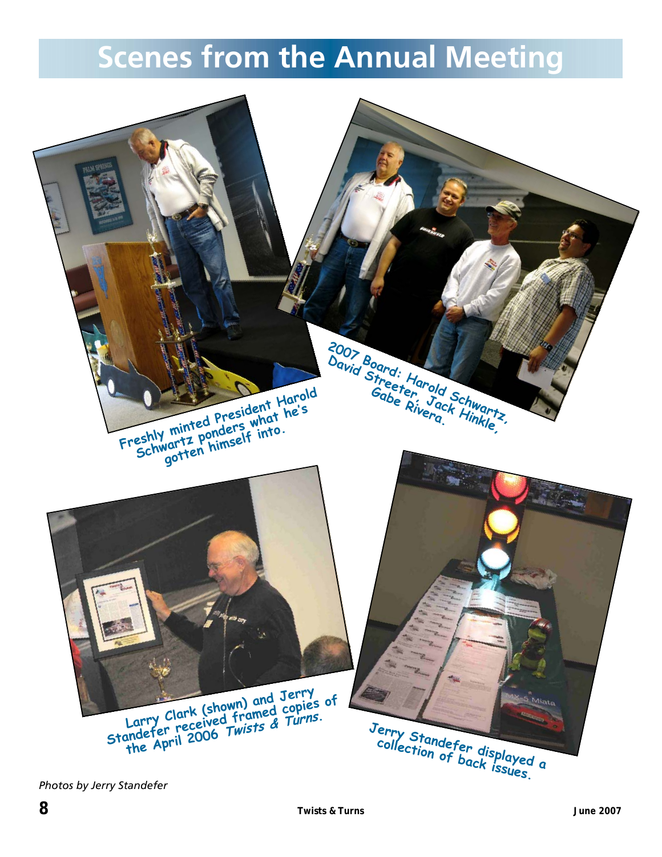# **Scenes from the Annual Meeting**



*Photos by Jerry Standefer*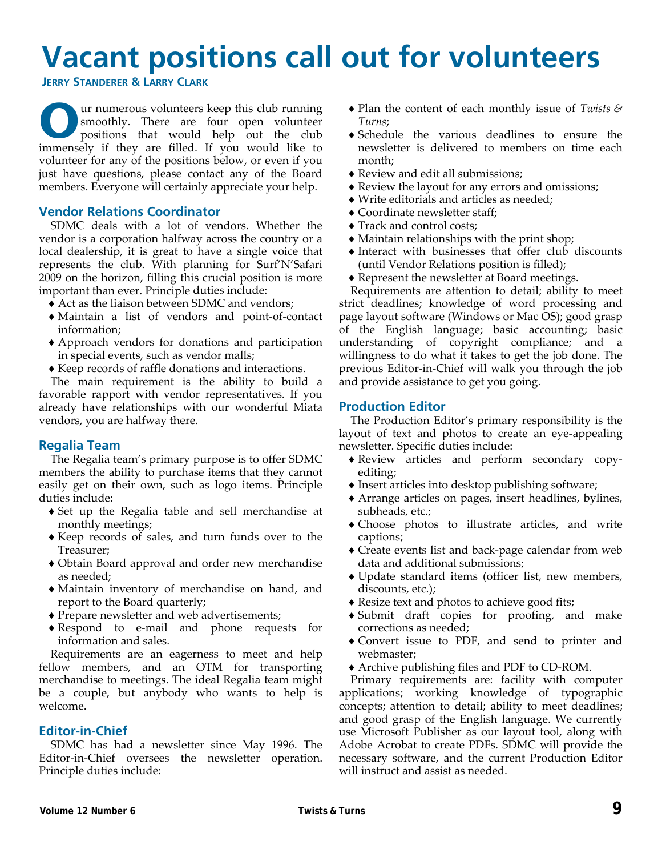# **Vacant positions call out for volunteers**

**JERRY STANDERER & LARRY CLARK**

**O**ur numerous volunteers keep this club running<br>
positions that would help out the club<br>
propositions that would help out the club<br>
proposed if you would like to smoothly. There are four open volunteer immensely if they are filled. If you would like to volunteer for any of the positions below, or even if you just have questions, please contact any of the Board members. Everyone will certainly appreciate your help.

## **Vendor Relations Coordinator**

SDMC deals with a lot of vendors. Whether the vendor is a corporation halfway across the country or a local dealership, it is great to have a single voice that represents the club. With planning for Surf'N'Safari 2009 on the horizon, filling this crucial position is more important than ever. Principle duties include:

- ♦ Act as the liaison between SDMC and vendors;
- ♦ Maintain a list of vendors and point‐of‐contact information;
- ♦ Approach vendors for donations and participation in special events, such as vendor malls;
- ♦ Keep records of raffle donations and interactions.

The main requirement is the ability to build a favorable rapport with vendor representatives. If you already have relationships with our wonderful Miata vendors, you are halfway there.

## **Regalia Team**

The Regalia team's primary purpose is to offer SDMC members the ability to purchase items that they cannot easily get on their own, such as logo items. Principle duties include:

- ♦ Set up the Regalia table and sell merchandise at monthly meetings;
- ♦ Keep records of sales, and turn funds over to the Treasurer;
- ♦ Obtain Board approval and order new merchandise as needed;
- ♦ Maintain inventory of merchandise on hand, and report to the Board quarterly;
- ♦ Prepare newsletter and web advertisements;
- ♦ Respond to e‐mail and phone requests for information and sales.

Requirements are an eagerness to meet and help fellow members, and an OTM for transporting merchandise to meetings. The ideal Regalia team might be a couple, but anybody who wants to help is welcome.

## **Editor-in-Chief**

SDMC has had a newsletter since May 1996. The Editor-in-Chief oversees the newsletter operation. Principle duties include:

- ♦ Plan the content of each monthly issue of *Twists & Turns*;
- ♦ Schedule the various deadlines to ensure the newsletter is delivered to members on time each month;
- ♦ Review and edit all submissions;
- ♦ Review the layout for any errors and omissions;
- ♦ Write editorials and articles as needed;
- ♦ Coordinate newsletter staff;
- ♦ Track and control costs;
- ♦ Maintain relationships with the print shop;
- ♦ Interact with businesses that offer club discounts (until Vendor Relations position is filled);
- ♦ Represent the newsletter at Board meetings.

Requirements are attention to detail; ability to meet strict deadlines; knowledge of word processing and page layout software (Windows or Mac OS); good grasp of the English language; basic accounting; basic understanding of copyright compliance; and a willingness to do what it takes to get the job done. The previous Editor‐in‐Chief will walk you through the job and provide assistance to get you going.

## **Production Editor**

The Production Editor's primary responsibility is the layout of text and photos to create an eye‐appealing newsletter. Specific duties include:

- ♦ Review articles and perform secondary copy‐ editing;
- ♦ Insert articles into desktop publishing software;
- ♦ Arrange articles on pages, insert headlines, bylines, subheads, etc.;
- ♦ Choose photos to illustrate articles, and write captions;
- ♦ Create events list and back‐page calendar from web data and additional submissions;
- ♦ Update standard items (officer list, new members, discounts, etc.);
- ♦ Resize text and photos to achieve good fits;
- ♦ Submit draft copies for proofing, and make corrections as needed;
- ♦ Convert issue to PDF, and send to printer and webmaster;
- ♦ Archive publishing files and PDF to CD‐ROM.

Primary requirements are: facility with computer applications; working knowledge of typographic concepts; attention to detail; ability to meet deadlines; and good grasp of the English language. We currently use Microsoft Publisher as our layout tool, along with Adobe Acrobat to create PDFs. SDMC will provide the necessary software, and the current Production Editor will instruct and assist as needed.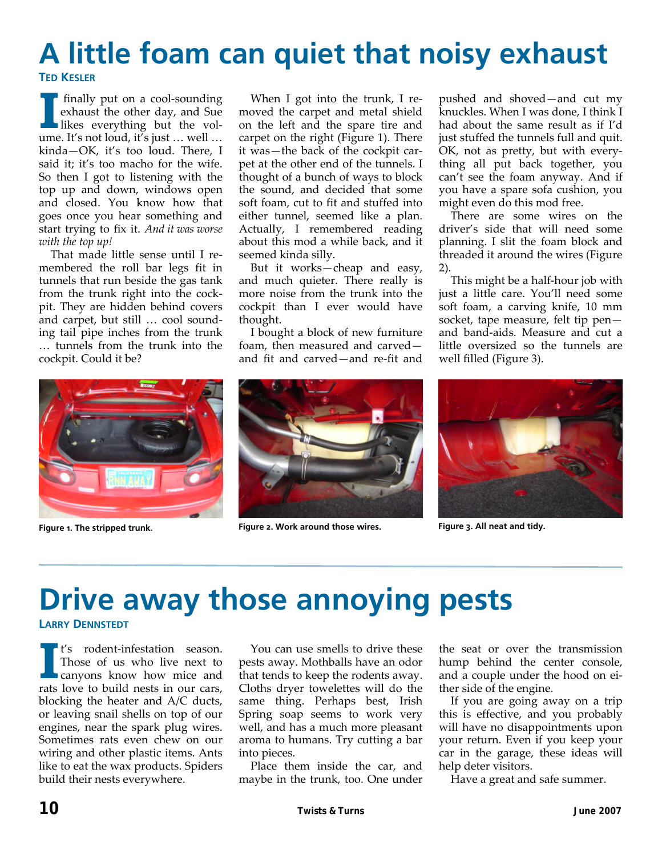# **A little foam can quiet that noisy exhaust TED KESLER**

**I** finally put on a cool-sounding<br>exhaust the other day, and Sue<br>likes everything but the volexhaust the other day, and Sue ume. It's not loud, it's just … well … kinda—OK, it's too loud. There, I said it; it's too macho for the wife. So then I got to listening with the top up and down, windows open and closed. You know how that goes once you hear something and start trying to fix it. *And it was worse with the top up!*

That made little sense until I re‐ membered the roll bar legs fit in tunnels that run beside the gas tank from the trunk right into the cock‐ pit. They are hidden behind covers and carpet, but still … cool sound‐ ing tail pipe inches from the trunk … tunnels from the trunk into the cockpit. Could it be?

When I got into the trunk, I removed the carpet and metal shield on the left and the spare tire and carpet on the right (Figure 1). There it was—the back of the cockpit car‐ pet at the other end of the tunnels. I thought of a bunch of ways to block the sound, and decided that some soft foam, cut to fit and stuffed into either tunnel, seemed like a plan. Actually, I remembered reading about this mod a while back, and it seemed kinda silly.

But it works—cheap and easy, and much quieter. There really is more noise from the trunk into the cockpit than I ever would have thought.

I bought a block of new furniture foam, then measured and carved and fit and carved—and re‐fit and

Figure 1. The stripped trunk. **Figure 2. Work around those wires.** Figure 3. All neat and tidy.

pushed and shoved—and cut my knuckles. When I was done, I think I had about the same result as if I'd just stuffed the tunnels full and quit. OK, not as pretty, but with every‐ thing all put back together, you can't see the foam anyway. And if you have a spare sofa cushion, you might even do this mod free.

There are some wires on the driver's side that will need some planning. I slit the foam block and threaded it around the wires (Figure 2).

This might be a half‐hour job with just a little care. You'll need some soft foam, a carving knife, 10 mm socket, tape measure, felt tip pen and band‐aids. Measure and cut a little oversized so the tunnels are well filled (Figure 3).



# **Drive away those annoying pests**

### **LARRY DENNSTEDT**

**I** <sup>t's</sup> rodent-infestation season.<br>
Those of us who live next to canyons know how mice and Those of us who live next to rats love to build nests in our cars, blocking the heater and A/C ducts, or leaving snail shells on top of our engines, near the spark plug wires. Sometimes rats even chew on our wiring and other plastic items. Ants like to eat the wax products. Spiders build their nests everywhere.

You can use smells to drive these pests away. Mothballs have an odor that tends to keep the rodents away. Cloths dryer towelettes will do the same thing. Perhaps best, Irish Spring soap seems to work very well, and has a much more pleasant aroma to humans. Try cutting a bar into pieces.

Place them inside the car, and maybe in the trunk, too. One under

the seat or over the transmission hump behind the center console, and a couple under the hood on ei‐ ther side of the engine.

If you are going away on a trip this is effective, and you probably will have no disappointments upon your return. Even if you keep your car in the garage, these ideas will help deter visitors.

Have a great and safe summer.

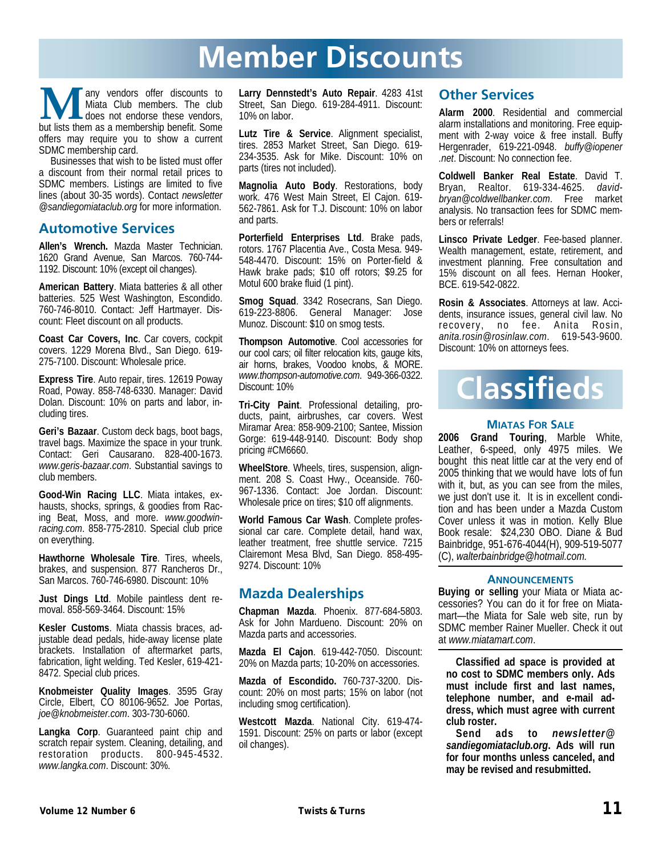# **Member Discounts**

**Many vendors offer discounts to** Miata Club members. The club does not endorse these vendors, but lists them as a membership benefit. Some Miata Club members. The club does not endorse these vendors, offers may require you to show a current SDMC membership card.

Businesses that wish to be listed must offer a discount from their normal retail prices to SDMC members. Listings are limited to five lines (about 30-35 words). Contact *newsletter @sandiegomiataclub.org* for more information.

## **Automotive Services**

**Allen's Wrench.** Mazda Master Technician. 1620 Grand Avenue, San Marcos. 760-744- 1192. Discount: 10% (except oil changes).

**American Battery**. Miata batteries & all other batteries. 525 West Washington, Escondido. 760-746-8010. Contact: Jeff Hartmayer. Discount: Fleet discount on all products.

**Coast Car Covers, Inc**. Car covers, cockpit covers. 1229 Morena Blvd., San Diego. 619- 275-7100. Discount: Wholesale price.

**Express Tire**. Auto repair, tires. 12619 Poway Road, Poway. 858-748-6330. Manager: David Dolan. Discount: 10% on parts and labor, including tires.

**Geri's Bazaar**. Custom deck bags, boot bags, travel bags. Maximize the space in your trunk. Contact: Geri Causarano. 828-400-1673. *www.geris-bazaar.com*. Substantial savings to club members.

**Good-Win Racing LLC**. Miata intakes, exhausts, shocks, springs, & goodies from Racing Beat, Moss, and more. *www.goodwin*racing.com. 858-775-2810. Special club price on everything.

**Hawthorne Wholesale Tire**. Tires, wheels, brakes, and suspension. 877 Rancheros Dr., San Marcos. 760-746-6980. Discount: 10%

**Just Dings Ltd**. Mobile paintless dent removal. 858-569-3464. Discount: 15%

**Kesler Customs**. Miata chassis braces, adjustable dead pedals, hide-away license plate brackets. Installation of aftermarket parts, fabrication, light welding. Ted Kesler, 619-421- 8472. Special club prices.

**Knobmeister Quality Images**. 3595 Gray Circle, Elbert, CO 80106-9652. Joe Portas, *joe@knobmeister.com*. 303-730-6060.

**Langka Corp**. Guaranteed paint chip and scratch repair system. Cleaning, detailing, and restoration products. 800-945-4532. *www.langka.com*. Discount: 30%.

**Larry Dennstedt's Auto Repair**. 4283 41st Street, San Diego. 619-284-4911. Discount: 10% on labor.

**Lutz Tire & Service**. Alignment specialist, tires. 2853 Market Street, San Diego. 619- 234-3535. Ask for Mike. Discount: 10% on parts (tires not included).

**Magnolia Auto Body**. Restorations, body work. 476 West Main Street, El Cajon. 619- 562-7861. Ask for T.J. Discount: 10% on labor and parts.

**Porterfield Enterprises Ltd**. Brake pads, rotors. 1767 Placentia Ave., Costa Mesa. 949- 548-4470. Discount: 15% on Porter-field & Hawk brake pads; \$10 off rotors; \$9.25 for Motul 600 brake fluid (1 pint).

**Smog Squad**. 3342 Rosecrans, San Diego. 619-223-8806. General Manager: Jose Munoz. Discount: \$10 on smog tests.

**Thompson Automotive**. Cool accessories for our cool cars; oil filter relocation kits, gauge kits, air horns, brakes, Voodoo knobs, & MORE. *www.thompson-automotive.com*. 949-366-0322. Discount: 10%

**Tri-City Paint**. Professional detailing, products, paint, airbrushes, car covers. West Miramar Area: 858-909-2100; Santee, Mission Gorge: 619-448-9140. Discount: Body shop pricing #CM6660.

**WheelStore**. Wheels, tires, suspension, alignment. 208 S. Coast Hwy., Oceanside. 760- 967-1336. Contact: Joe Jordan. Discount: Wholesale price on tires; \$10 off alignments.

**World Famous Car Wash**. Complete professional car care. Complete detail, hand wax, leather treatment, free shuttle service. 7215 Clairemont Mesa Blvd, San Diego. 858-495- 9274. Discount: 10%

## **Mazda Dealerships**

**Chapman Mazda**. Phoenix. 877-684-5803. Ask for John Mardueno. Discount: 20% on Mazda parts and accessories.

**Mazda El Cajon**. 619-442-7050. Discount: 20% on Mazda parts; 10-20% on accessories.

**Mazda of Escondido.** 760-737-3200. Discount: 20% on most parts; 15% on labor (not including smog certification).

**Westcott Mazda**. National City. 619-474- 1591. Discount: 25% on parts or labor (except oil changes).

## **Other Services**

**Alarm 2000**. Residential and commercial alarm installations and monitoring. Free equipment with 2-way voice & free install. Buffy Hergenrader, 619-221-0948. *buffy@iopener .net*. Discount: No connection fee.

**Coldwell Banker Real Estate**. David T. Bryan, Realtor. 619-334-4625. *davidbryan@coldwellbanker.com*. Free market analysis. No transaction fees for SDMC members or referrals!

**Linsco Private Ledger**. Fee-based planner. Wealth management, estate, retirement, and investment planning. Free consultation and 15% discount on all fees. Hernan Hooker, BCE. 619-542-0822.

**Rosin & Associates**. Attorneys at law. Accidents, insurance issues, general civil law. No recovery, no fee. Anita Rosin, *anita.rosin@rosinlaw.com*. 619-543-9600. Discount: 10% on attorneys fees.



## **MIATAS FOR SALE**

**2006 Grand Touring**, Marble White, Leather, 6-speed, only 4975 miles. We bought this neat little car at the very end of 2005 thinking that we would have lots of fun with it, but, as you can see from the miles, we just don't use it. It is in excellent condition and has been under a Mazda Custom Cover unless it was in motion. Kelly Blue Book resale: \$24,230 OBO. Diane & Bud Bainbridge, 951-676-4044(H), 909-519-5077 (C), *walterbainbridge@hotmail.com.*

### **ANNOUNCEMENTS**

**Buying or selling** your Miata or Miata accessories? You can do it for free on Miatamart—the Miata for Sale web site, run by SDMC member Rainer Mueller. Check it out at *www.miatamart.com*.

**Classified ad space is provided at no cost to SDMC members only. Ads must include first and last names, telephone number, and e-mail address, which must agree with current club roster.** 

**Send ads to** *newsletter@ sandiegomiataclub.org***. Ads will run for four months unless canceled, and may be revised and resubmitted.**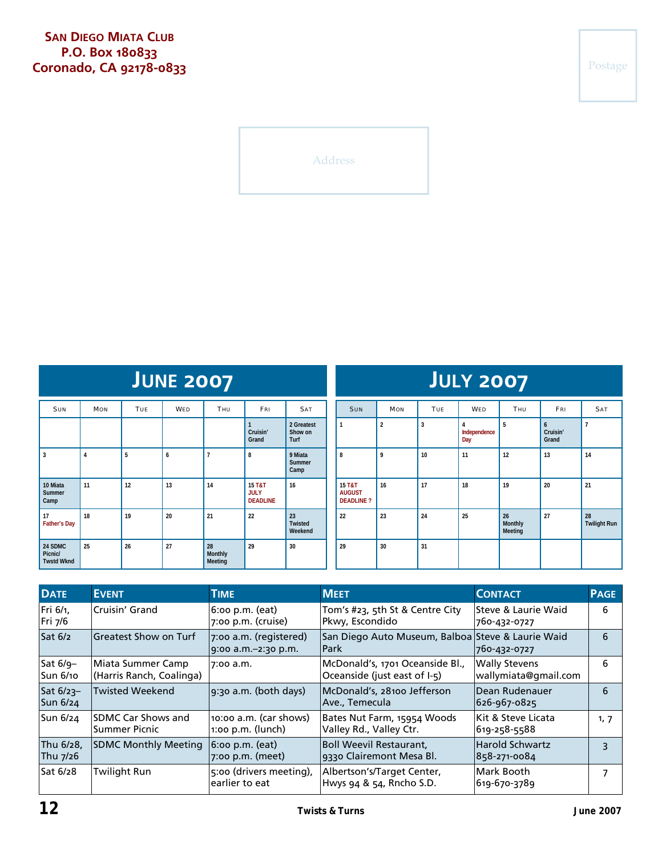Address

| <b>JUNE 2007</b>                        |            |            |            |                          |                                                     |                               |
|-----------------------------------------|------------|------------|------------|--------------------------|-----------------------------------------------------|-------------------------------|
| <b>SUN</b>                              | <b>MON</b> | <b>TUE</b> | <b>WED</b> | <b>THU</b>               | <b>FRI</b>                                          | <b>SAT</b>                    |
|                                         |            |            |            |                          | 1<br>Cruisin'<br>Grand                              | 2 Greatest<br>Show on<br>Turf |
| 3                                       | 4          | 5          | 6          | $\overline{7}$           | 8                                                   | 9 Miata<br>Summer<br>Camp     |
| 10 Miata<br>Summer<br>Camp              | 11         | 12         | 13         | 14                       | <b>15 T&amp;T</b><br><b>JULY</b><br><b>DEADLINE</b> | 16                            |
| 17<br><b>Father's Day</b>               | 18         | 19         | 20         | 21                       | 22                                                  | 23<br>Twisted<br>Weekend      |
| 24 SDMC<br>Picnic/<br><b>Twstd Wknd</b> | 25         | 26         | 27         | 28<br>Monthly<br>Meeting | 29                                                  | 30                            |

| JULY 2007                                   |                |            |                          |                          |                        |                           |  |  |  |
|---------------------------------------------|----------------|------------|--------------------------|--------------------------|------------------------|---------------------------|--|--|--|
| <b>SUN</b>                                  | <b>MON</b>     | <b>TUE</b> | <b>WED</b>               | <b>THU</b>               | FRI                    | <b>SAT</b>                |  |  |  |
| 1                                           | $\overline{2}$ | 3          | 4<br>Independence<br>Day | 5                        | 6<br>Cruisin'<br>Grand | $\overline{1}$            |  |  |  |
| 8                                           | $\mathsf{q}$   | 10         | 11                       | 12                       | 13                     | 14                        |  |  |  |
| 15 T&T<br><b>AUGUST</b><br><b>DEADLINE?</b> | 16             | 17         | 18                       | 19                       | 20                     | 21                        |  |  |  |
| 22                                          | 23             | 24         | 25                       | 26<br>Monthly<br>Meeting | 27                     | 28<br><b>Twilight Run</b> |  |  |  |
| 29                                          | 30             | 31         |                          |                          |                        |                           |  |  |  |

| <b>DATE</b>                 | <b>EVENT</b>                                  | <b>TIME</b>                                   | <b>MEET</b>                                                      | <b>CONTACT</b>                               | <b>PAGE</b>      |
|-----------------------------|-----------------------------------------------|-----------------------------------------------|------------------------------------------------------------------|----------------------------------------------|------------------|
| Fri 6/1,<br>Fri 7/6         | Cruisin' Grand                                | $6:$ oo p.m. (eat)<br>7:00 p.m. (cruise)      | Tom's #23, 5th St & Centre City<br>Pkwy, Escondido               | Steve & Laurie Waid<br>760-432-0727          | 6                |
| Sat 6/2                     | Greatest Show on Turf                         | 7:00 a.m. (registered)<br>9:00 a.m.-2:30 p.m. | San Diego Auto Museum, Balboa Steve & Laurie Waid<br><b>Park</b> | 760-432-0727                                 | $6 \overline{6}$ |
| Sat 6/9-<br><b>Sun 6/10</b> | Miata Summer Camp<br>(Harris Ranch, Coalinga) | 7:00 a.m.                                     | McDonald's, 1701 Oceanside Bl.,<br>Oceanside (just east of I-5)  | <b>Wally Stevens</b><br>wallymiata@gmail.com | 6                |
| Sat $6/23-$<br>Sun 6/24     | <b>Twisted Weekend</b>                        | 9:30 a.m. (both days)                         | McDonald's, 28100 Jefferson<br>Ave., Temecula                    | lDean Rudenauer<br>626-967-0825              | 6                |
| Sun 6/24                    | ISDMC Car Shows and<br>Summer Picnic          | 10:00 a.m. (car shows)<br>$1:00$ p.m. (lunch) | Bates Nut Farm, 15954 Woods<br>Valley Rd., Valley Ctr.           | Kit & Steve Licata<br>619-258-5588           | 1, 7             |
| Thu 6/28,<br>Thu 7/26       | <b>SDMC Monthly Meeting</b>                   | $6:$ oo p.m. (eat)<br>$7:00$ p.m. (meet)      | <b>Boll Weevil Restaurant,</b><br>9330 Clairemont Mesa Bl.       | <b>Harold Schwartz</b><br>858-271-0084       | २                |
| Sat 6/28                    | <b>Twilight Run</b>                           | 5:00 (drivers meeting),<br>earlier to eat     | Albertson's/Target Center,<br>Hwys 94 & 54, Rncho S.D.           | Mark Booth<br>619-670-3789                   |                  |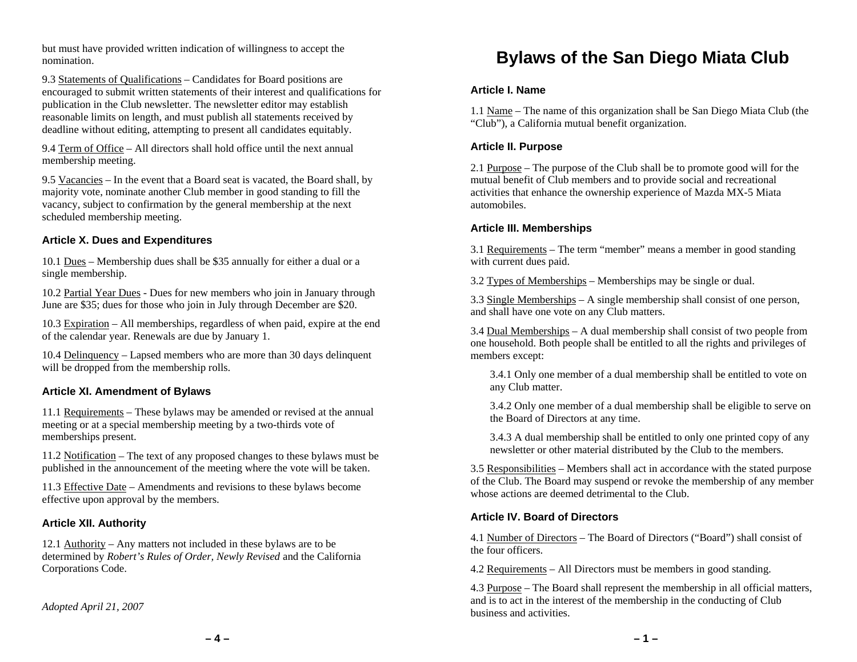but must have provided written indication of willingness to accept the nomination.

9.3 Statements of Qualifications – Candidates for Board positions are encouraged to submit written statements of their interest and qualifications for publication in the Club newsletter. The newsletter editor may establish reasonable limits on length, and must publish all statements received by deadline without editing, attempting to present all candidates equitably.

9.4 Term of Office – All directors shall hold office until the next annual membership meeting.

9.5 Vacancies – In the event that a Board seat is vacated, the Board shall, by majority vote, nominate another Club member in good standing to fill the vacancy, subject to confirmation by the general membership at the next scheduled membership meeting.

### **Article X. Dues and Expenditures**

10.1 Dues – Membership dues shall be \$35 annually for either a dual or a single membership.

10.2 Partial Year Dues - Dues for new members who join in January through June are \$35; dues for those who join in July through December are \$20.

10.3 Expiration – All memberships, regardless of when paid, expire at the end of the calendar year. Renewals are due by January 1.

10.4 Delinquency – Lapsed members who are more than 30 days delinquent will be dropped from the membership rolls.

### **Article XI. Amendment of Bylaws**

11.1 Requirements – These bylaws may be amended or revised at the annual meeting or at a special membership meeting by a two-thirds vote of memberships present.

11.2 Notification – The text of any proposed changes to these bylaws must be published in the announcement of the meeting where the vote will be taken.

11.3 Effective Date – Amendments and revisions to these bylaws become effective upon approval by the members.

### **Article XII. Authority**

12.1 Authority – Any matters not included in these bylaws are to be determined by *Robert's Rules of Order, Newly Revised* and the California Corporations Code.

#### *Adopted April 21, 2007*

# **Bylaws of the San Diego Miata Club**

#### **Article I. Name**

1.1 Name – The name of this organization shall be San Diego Miata Club (the "Club"), a California mutual benefit organization.

### **Article II. Purpose**

2.1 Purpose – The purpose of the Club shall be to promote good will for the mutual benefit of Club members and to provide social and recreational activities that enhance the ownership experience of Mazda MX-5 Miata automobiles.

#### **Article III. Memberships**

3.1 Requirements – The term "member" means a member in good standing with current dues paid.

3.2 Types of Memberships – Memberships may be single or dual.

3.3 Single Memberships – A single membership shall consist of one person, and shall have one vote on any Club matters.

3.4 Dual Memberships – A dual membership shall consist of two people from one household. Both people shall be entitled to all the rights and privileges of members except:

3.4.1 Only one member of a dual membership shall be entitled to vote on any Club matter.

3.4.2 Only one member of a dual membership shall be eligible to serve on the Board of Directors at any time.

3.4.3 A dual membership shall be entitled to only one printed copy of any newsletter or other material distributed by the Club to the members.

3.5 Responsibilities – Members shall act in accordance with the stated purpose of the Club. The Board may suspend or revoke the membership of any member whose actions are deemed detrimental to the Club.

### **Article IV. Board of Directors**

4.1 Number of Directors – The Board of Directors ("Board") shall consist of the four officers.

4.2 Requirements – All Directors must be members in good standing.

4.3 Purpose – The Board shall represent the membership in all official matters, and is to act in the interest of the membership in the conducting of Club business and activities.